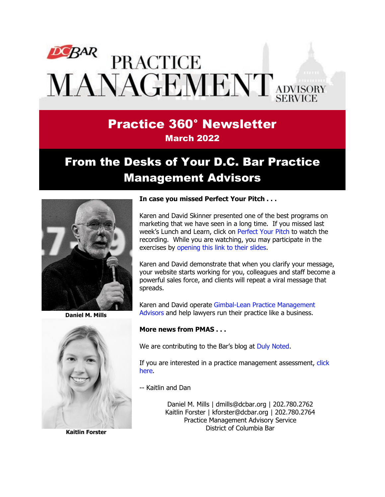# DEBAR PRACTICE<br>MANAGEMENT ADVISORY

#### Practice 360° Newsletter March 2022

# From the Desks of Your D.C. Bar Practice Management Advisors



**Daniel M. Mills**



**Kaitlin Forster**

#### **In case you missed Perfect Your Pitch . . .**

Karen and David Skinner presented one of the best programs on marketing that we have seen in a long time. If you missed last week's Lunch and Learn, click on [Perfect Your Pitch](https://vimeo.com/681964486) to watch the recording. While you are watching, you may participate in the exercises by [opening this link to their slides.](https://www.dcbar.org/getmedia/8b234b3d-b55a-4c8e-b7cc-34161f9f4c98/Perfect-Your-Pitch?utm_source=Real%20Magnet&utm_medium=INSERT_CHANNEL&utm_campaign=INSERT_LINK_ID)

Karen and David demonstrate that when you clarify your message, your website starts working for you, colleagues and staff become a powerful sales force, and clients will repeat a viral message that spreads.

Karen and David operate [Gimbal-Lean Practice Management](http://www.gimbalcanada.com/)  [Advisors](http://www.gimbalcanada.com/) and help lawyers run their practice like a business.

#### **More news from PMAS . . .**

We are contributing to the Bar's blog at [Duly Noted.](https://www.dcbar.org/news-events/publications/d-c-bar-blog/meet-practice-management-advisor-kaitlin-forster?utm_source=Real%20Magnet&utm_medium=INSERT_CHANNEL&utm_campaign=INSERT_LINK_ID)

If you are interested in a practice management assessment, click [here.](https://www.dcbar.org/for-lawyers/practice-management-advisory-service/practice-management-advisor-assessment?utm_source=Real%20Magnet&utm_medium=INSERT_CHANNEL&utm_campaign=INSERT_LINK_ID)

-- Kaitlin and Dan

Daniel M. Mills | [dmills@dcbar.org](mailto:dmills@dcbar.org) | 202.780.2762 Kaitlin Forster | [kforster@dcbar.org](mailto:kforster@dcbar.org) | 202.780.2764 Practice Management Advisory Service District of Columbia Bar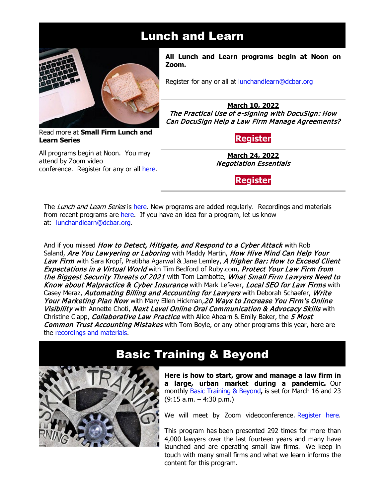#### Lunch and Learn



**All Lunch and Learn programs begin at Noon on Zoom.**

Register for any or all at [lunchandlearn@dcbar.org](mailto:lunchandlearn@dcbar.org?subject=Lunch%20and%20Learn)

**March 10, 2022** The Practical Use of e-signing with DocuSign: How Can DocuSign Help a Law Firm Manage Agreements?

Read more at **[Small Firm Lunch](https://www.dcbar.org/for-lawyers/practice-management-advisory-service/courses-and-trainings/small-firm-lunch-and-learn-series?utm_source=Real%20Magnet&utm_medium=INSERT_CHANNEL&utm_campaign=INSERT_LINK_ID) and [Learn Series](https://www.dcbar.org/for-lawyers/practice-management-advisory-service/courses-and-trainings/small-firm-lunch-and-learn-series?utm_source=Real%20Magnet&utm_medium=INSERT_CHANNEL&utm_campaign=INSERT_LINK_ID)**

All programs begin at Noon. You may attend by Zoom video conference. Register for any or all [here.](https://www.dcbar.org/for-lawyers/practice-management-advisory-service/courses-and-trainings/small-firm-lunch-and-learn-series?utm_source=Real%20Magnet&utm_medium=INSERT_CHANNEL&utm_campaign=INSERT_LINK_ID) **[Register](https://dcbar.inreachce.com/Details/Information/5721c831-99ac-48a0-aac9-53e790042601)**

**March 24, 2022** Negotiation Essentials

**[Register](https://dcbar.inreachce.com/Details/Information/bdb76b0e-1155-4dc2-b232-3d0a221365db)**

The Lunch and Learn Series is [here.](https://www.dcbar.org/for-lawyers/practice-management-advisory-service/courses-and-trainings/small-firm-lunch-and-learn-series?utm_source=Real%20Magnet&utm_medium=INSERT_CHANNEL&utm_campaign=INSERT_LINK_ID) New programs are added regularly. Recordings and materials from recent programs are [here.](https://www.dcbar.org/for-lawyers/practice-management-advisory-service/courses-and-trainings/small-firm-lunch-and-learn-series/past-lunch-and-learn-programs?utm_source=Real%20Magnet&utm_medium=INSERT_CHANNEL&utm_campaign=INSERT_LINK_ID) If you have an idea for a program, let us know at: [lunchandlearn@dcbar.org.](mailto:lunchandlearn@dcbar.org)

And if you missed *How to Detect, Mitigate, and Respond to a Cyber Attack* with Rob Saland, Are You Lawyering or Laboring with Maddy Martin, How Hive Mind Can Help Your Law Firm with Sara Kropf, Pratibha Agarwal & Jane Lemley, A Higher Bar: How to Exceed Client **Expectations in a Virtual World** with Tim Bedford of Ruby.com, Protect Your Law Firm from the Biggest Security Threats of 2021 with Tom Lambotte, What Small Firm Lawyers Need to Know about Malpractice & Cyber Insurance with Mark Lefever, Local SEO for Law Firms with Casey Meraz, Automating Billing and Accounting for Lawyers with Deborah Schaefer, Write Your Marketing Plan Now with Mary Ellen Hickman, 20 Ways to Increase You Firm's Online Visibility with Annette Choti, Next Level Online Oral Communication & Advocacy Skills with Christine Clapp, *Collaborative Law Practice* with Alice Ahearn & Emily Baker, the 5 Most Common Trust Accounting Mistakes with Tom Boyle, or any other programs this year, here are the [recordings and materials.](https://www.dcbar.org/for-lawyers/practice-management-advisory-service/courses-and-trainings/small-firm-lunch-and-learn-series/past-lunch-and-learn-programs?utm_source=Real%20Magnet&utm_medium=INSERT_CHANNEL&utm_campaign=INSERT_LINK_ID)

### Basic Training & Beyond



**Here is how to start, grow and manage a law firm in a large, urban market during a pandemic.** Our monthly [Basic Training & Beyond](http://www.mmsend31.com/link.cfm?r=zvkjaWqFFUTRz65Avl-Ftw%7E%7E&pe=c3ph7NU-Re1l6uj-xoZC_Nqnf2HGTrpIRRfl_qZmlgZN_I06rShTZ-AlGs0Wp7CGgKUozsdU2izsioLhmXaRbg%7E%7E&t=prXb-jowJMuBRf73r4YKRA%7E%7E)**,** is set for March 16 and 23  $(9:15 a.m. - 4:30 p.m.)$ 

We will meet by Zoom videoconference. [Register here.](http://www.mmsend31.com/link.cfm?r=zvkjaWqFFUTRz65Avl-Ftw%7E%7E&pe=BxjSlIjTK_3i3Os02s37pODjnSEaSaIBfLm0UarKy-K07-G29KY0F7SoVNdKQgSYIVrXVvuyFBcMiPY5X35JOA%7E%7E&t=prXb-jowJMuBRf73r4YKRA%7E%7E)

This program has been presented 292 times for more than 4,000 lawyers over the last fourteen years and many have launched and are operating small law firms. We keep in touch with many small firms and what we learn informs the content for this program.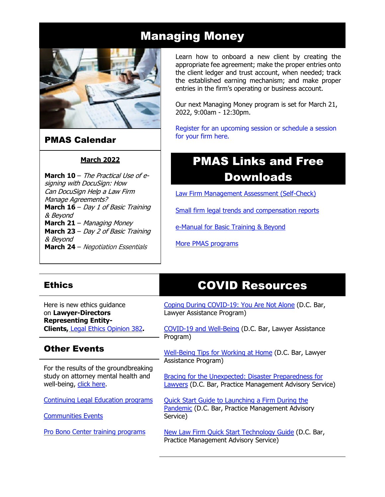#### Managing Money



#### PMAS Calendar

#### **March 2022**

**March 10** – The Practical Use of esigning with DocuSign: How Can DocuSign Help a Law Firm Manage Agreements? **March 16** – Day 1 of Basic Training & Beyond **March 21** – Managing Money **March 23** – Day 2 of Basic Training & Beyond **March 24** – Negotiation Essentials

Learn how to onboard a new client by creating the appropriate fee agreement; make the proper entries onto the client ledger and trust account, when needed; track the established earning mechanism; and make proper entries in the firm's operating or business account.

Our next Managing Money program is set for March 21, 2022, 9:00am - 12:30pm.

[Register for an upcoming session or schedule a session](https://www.dcbar.org/for-lawyers/practice-management-advisory-service/courses-and-trainings/managing-money?utm_source=Real%20Magnet&utm_medium=INSERT_CHANNEL&utm_campaign=INSERT_LINK_ID)  [for your firm here.](https://www.dcbar.org/for-lawyers/practice-management-advisory-service/courses-and-trainings/managing-money?utm_source=Real%20Magnet&utm_medium=INSERT_CHANNEL&utm_campaign=INSERT_LINK_ID) 

## PMAS Links and Free Downloads

[Law Firm Management Assessment \(Self-Check\)](https://www.dcbar.org/for-lawyers/practice-management-advisory-service/practice-tips-and-compliance/self-check?utm_source=Real%20Magnet&utm_medium=INSERT_CHANNEL&utm_campaign=INSERT_LINK_ID)

[Small firm legal trends and compensation reports](https://www.dcbar.org/for-lawyers/practice-management-advisory-service/courses-and-trainings/basic-training-beyond/basic-training-beyond-supplements?utm_source=Real%20Magnet&utm_medium=INSERT_CHANNEL&utm_campaign=INSERT_LINK_ID)

[e-Manual for Basic Training & Beyond](https://districtofcolumbiabar-my.sharepoint.com/personal/dmills_dcbar_org/_layouts/15/onedrive.aspx?id=%2Fpersonal%2Fdmills%5Fdcbar%5Forg%2FDocuments%2FMy%20Documents%2FDMM%2FBasic%20Training%2FManual%202022%2FeManual%202022%2Epdf&parent=%2Fpersonal%2Fdmills%5Fdcbar%5Forg%2FDocuments%2FMy%20Documents%2FDMM%2FBasic%20Training%2FManual%202022&ct=1646156095047&or=Outlook%2DBody&cid=41A5C7FA%2D19DB%2D4C9D%2DB9C6%2D9A0291B219BD)

[More PMAS programs](https://www.dcbar.org/for-lawyers/practice-management-advisory-service/courses-and-trainings?utm_source=Real%20Magnet&utm_medium=INSERT_CHANNEL&utm_campaign=INSERT_LINK_ID)

| <b>Ethics</b>                                                                                           | <b>COVID Resources</b>                                                                                                          |
|---------------------------------------------------------------------------------------------------------|---------------------------------------------------------------------------------------------------------------------------------|
|                                                                                                         |                                                                                                                                 |
| Here is new ethics guidance<br>on Lawyer-Directors                                                      | Coping During COVID-19: You Are Not Alone (D.C. Bar,<br>Lawyer Assistance Program)                                              |
| <b>Representing Entity-</b><br><b>Clients, Legal Ethics Opinion 382.</b>                                | COVID-19 and Well-Being (D.C. Bar, Lawyer Assistance<br>Program)                                                                |
| <b>Other Events</b>                                                                                     | Well-Being Tips for Working at Home (D.C. Bar, Lawyer<br>Assistance Program)                                                    |
| For the results of the groundbreaking<br>study on attorney mental health and<br>well-being, click here. | <b>Bracing for the Unexpected: Disaster Preparedness for</b><br><b>Lawyers</b> (D.C. Bar, Practice Management Advisory Service) |
| <b>Continuing Legal Education programs</b>                                                              | <b>Quick Start Guide to Launching a Firm During the</b><br><b>Pandemic</b> (D.C. Bar, Practice Management Advisory              |
| <b>Communities Events</b>                                                                               | Service)                                                                                                                        |
| <b>Pro Bono Center training programs</b>                                                                | New Law Firm Quick Start Technology Guide (D.C. Bar,<br>Practice Management Advisory Service)                                   |